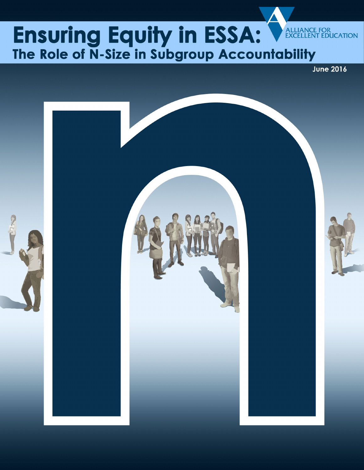# Ensuring Equity in ESSA: ALLIANCE FOR<br>EXCELLENT EDUCATION The Role of N-Size in Subgroup Accountability

**June 2016** 

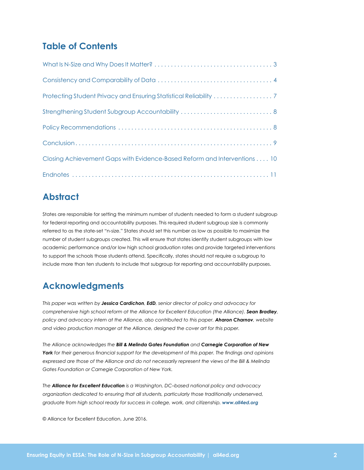### **Table of Contents**

| Strengthening Student Subgroup Accountability  8                         |
|--------------------------------------------------------------------------|
|                                                                          |
|                                                                          |
| Closing Achievement Gaps with Evidence-Based Reform and Interventions 10 |
|                                                                          |

### **Abstract**

States are responsible for setting the minimum number of students needed to form a student subgroup for federal reporting and accountability purposes. This required student subgroup size is commonly referred to as the state-set "n-size." States should set this number as low as possible to maximize the number of student subgroups created. This will ensure that states identify student subgroups with low academic performance and/or low high school graduation rates and provide targeted interventions to support the schools those students attend. Specifically, states should not require a subgroup to include more than ten students to include that subgroup for reporting and accountability purposes.

## **Acknowledgments**

*This paper was written by Jessica Cardichon, EdD, senior director of policy and advocacy for comprehensive high school reform at the Alliance for Excellent Education (the Alliance). Sean Bradley, policy and advocacy intern at the Alliance, also contributed to this paper. Aharon Charnov, website and video production manager at the Alliance, designed the cover art for this paper.* 

*The Alliance acknowledges the Bill & Melinda Gates Foundation and Carnegie Corporation of New York for their generous financial support for the development of this paper. The findings and opinions expressed are those of the Alliance and do not necessarily represent the views of the Bill & Melinda Gates Foundation or Carnegie Corporation of New York.*

*The Alliance for Excellent Education is a Washington, DC–based national policy and advocacy organization dedicated to ensuring that all students, particularly those traditionally underserved, graduate from high school ready for success in college, work, and citizenship. www.all4ed.org*

© Alliance for Excellent Education, June 2016.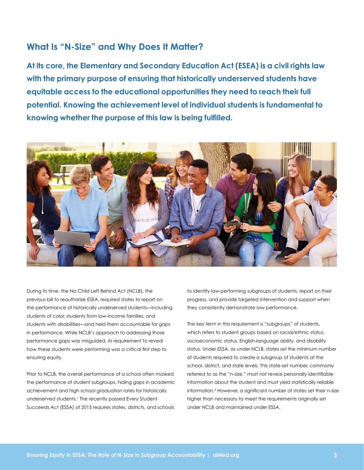### <span id="page-2-0"></span>**What Is "N-Size" and Why Does It Matter?**

**At its core, the Elementary and Secondary Education Act (ESEA) is a civil rights law with the primary purpose of ensuring that historically underserved students have equitable access to the educational opportunities they need to reach their full potential. Knowing the achievement level of individual students is fundamental to knowing whether the purpose of this law is being fulfilled.**



During its time, the No Child Left Behind Act (NCLB), the previous bill to reauthorize ESEA, required states to report on the performance of historically underserved students—including students of color, students from low-income families, and students with disabilities—and held them accountable for gaps in performance. While NCLB's approach to addressing those performance gaps was misguided, its requirement to reveal how these students were performing was a critical first step to ensuring equity.

Prior to NCLB, the overall performance of a school often masked the performance of student subgroups, hiding gaps in academic achievement and high school graduation rates for historically underserved students. 1 The recently passed Every Student Succeeds Act (ESSA) of 2015 requires states, districts, and schools

to identify low-performing subgroups of students, report on their progress, and provide targeted intervention and support when they consistently demonstrate low performance.

The key term in this requirement is "subgroups" of students, which refers to student groups based on racial/ethnic status, socioeconomic status, English-language ability, and disability status. Under ESSA, as under NCLB, states set the minimum number of students required to create a subgroup of students at the school, district, and state levels. This state-set number, commonly referred to as the "n-size," must not reveal personally identifiable information about the student and must yield statistically reliable information.<sup>2</sup> However, a significant number of states set their n-size higher than necessary to meet the requirements originally set under NCLB and maintained under ESSA.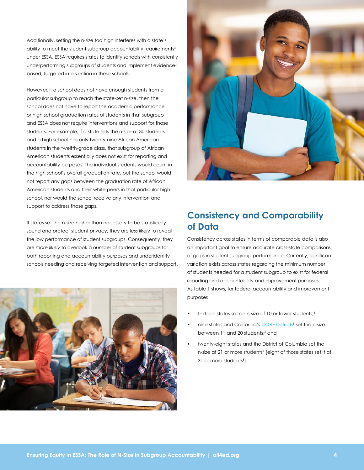<span id="page-3-0"></span>Additionally, setting the n-size too high interferes with a state's ability to meet the student subgroup accountability requirements<sup>3</sup> under ESSA. ESSA requires states to identify schools with consistently underperforming subgroups of students and implement evidencebased, targeted intervention in these schools.

However, if a school does not have enough students from a particular subgroup to reach the state-set n-size, then the school does not have to report the academic performance or high school graduation rates of students in that subgroup and ESSA does not require interventions and support for those students. For example, if a state sets the n-size at 30 students and a high school has only twenty-nine African American students in the twelfth-grade class, that subgroup of African American students essentially does not exist for reporting and accountability purposes. The individual students would count in the high school's overall graduation rate, but the school would not report any gaps between the graduation rate of African American students and their white peers in that particular high school, nor would the school receive any intervention and support to address those gaps.

If states set the n-size higher than necessary to be statistically sound and protect student privacy, they are *less likely* to reveal the low performance of student subgroups. Consequently, they are *more likely* to overlook a number of student subgroups for both reporting and accountability purposes and underidentify schools needing and receiving targeted intervention and support.





## **Consistency and Comparability of Data**

Consistency across states in terms of comparable data is also an important goal to ensure accurate cross-state comparisons of gaps in student subgroup performance. Currently, significant variation exists across states regarding the minimum number of students needed for a student subgroup to exist for federal reporting and accountability and improvement purposes. As table 1 shows, for federal accountability and improvement purposes

- thirteen states set an n-size of 10 or fewer students;4
- nine states and California's CORE Districts<sup>5</sup> set the n-size between 11 and 20 students;6 and
- twenty-eight states and the District of Columbia set the n-size at 21 or more students<sup>7</sup> (eight of those states set it at 31 or more students<sup>8</sup>).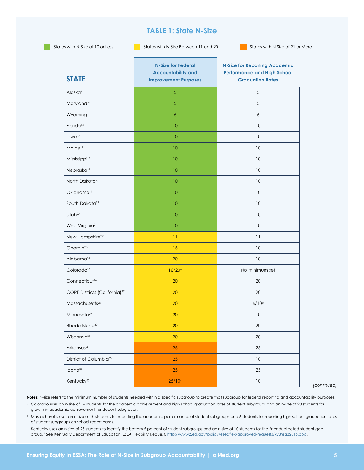### **TABLE 1: State N-Size**

States with N-Size of 10 or Less States with N-Size Between 11 and 20 States with N-Size of 21 or More

| <b>STATE</b>                              | <b>N-Size for Federal</b><br><b>Accountability and</b><br><b>Improvement Purposes</b> | <b>N-Size for Reporting Academic</b><br><b>Performance and High School</b><br><b>Graduation Rates</b> |
|-------------------------------------------|---------------------------------------------------------------------------------------|-------------------------------------------------------------------------------------------------------|
| Alaska <sup>9</sup>                       | 5                                                                                     | $\sqrt{5}$                                                                                            |
| Maryland <sup>10</sup>                    | 5                                                                                     | $\sqrt{5}$                                                                                            |
| Wyoming <sup>11</sup>                     | 6                                                                                     | 6                                                                                                     |
| Florida <sup>12</sup>                     | 10                                                                                    | 10                                                                                                    |
| lowa <sup>13</sup>                        | 10                                                                                    | 10                                                                                                    |
| Maine <sup>14</sup>                       | 10                                                                                    | 10                                                                                                    |
| Mississippi <sup>15</sup>                 | 10                                                                                    | 10                                                                                                    |
| Nebraska <sup>16</sup>                    | 10                                                                                    | 10                                                                                                    |
| North Dakota <sup>17</sup>                | 10                                                                                    | 10                                                                                                    |
| Oklahoma <sup>18</sup>                    | 10                                                                                    | 10                                                                                                    |
| South Dakota <sup>19</sup>                | 10                                                                                    | 10                                                                                                    |
| Utah <sup>20</sup>                        | 10                                                                                    | 10                                                                                                    |
| West Virginia <sup>21</sup>               | 10                                                                                    | 10                                                                                                    |
| New Hampshire <sup>22</sup>               | 11                                                                                    | 11                                                                                                    |
| Georgia <sup>23</sup>                     | 15                                                                                    | 10                                                                                                    |
| Alabama <sup>24</sup>                     | 20                                                                                    | 10                                                                                                    |
| Colorado <sup>25</sup>                    | 16/20°                                                                                | No minimum set                                                                                        |
| Connecticut <sup>26</sup>                 | 20                                                                                    | 20                                                                                                    |
| CORE Districts (California) <sup>27</sup> | 20                                                                                    | 20                                                                                                    |
| Massachusetts <sup>28</sup>               | 20                                                                                    | $6/10^{b}$                                                                                            |
| Minnesota <sup>29</sup>                   | 20                                                                                    | 10                                                                                                    |
| Rhode Island <sup>30</sup>                | <b>20</b>                                                                             | 20                                                                                                    |
| Wisconsin <sup>31</sup>                   | 20                                                                                    | $20\,$                                                                                                |
| Arkansas <sup>32</sup>                    | 25                                                                                    | 25                                                                                                    |
| District of Columbia <sup>33</sup>        | 25                                                                                    | $10\,$                                                                                                |
| Idaho <sup>34</sup>                       | 25                                                                                    | 25                                                                                                    |
| Kentucky <sup>35</sup>                    | $25/10^{\circ}$                                                                       | $10\,$                                                                                                |

*(continued)*

Notes: N-size refers to the minimum number of students needed within a specific subgroup to create that subgroup for federal reporting and accountability purposes.

- <sup>a</sup> Colorado uses an n-size of 16 students for the academic achievement and high school graduation rates of student subgroups and an n-size of 20 students for growth in academic achievement for student subgroups.
	- **b** Massachusetts uses an n-size of 10 students for reporting the academic performance of student subgroups and 6 students for reporting high school graduation rates of student subgroups on school report cards.
	- $c$  Kentucky uses an n-size of 25 students to identify the bottom 5 percent of student subgroups and an n-size of 10 students for the "nonduplicated student gap group." See Kentucky Department of Education, ESEA Flexibility Request, http://www2.ed.gov/policy/eseaflex/approved-requests/ky3req32015.doc.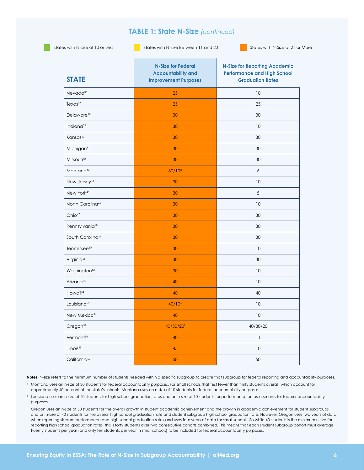### **TABLE 1: State N-Size** *(continued)*

States with N-Size of 10 or Less States with N-Size Between 11 and 20 States with N-Size of 21 or More

| <b>STATE</b>                 | <b>N-Size for Federal</b><br><b>Accountability and</b><br><b>Improvement Purposes</b> | <b>N-Size for Reporting Academic</b><br><b>Performance and High School</b><br><b>Graduation Rates</b> |
|------------------------------|---------------------------------------------------------------------------------------|-------------------------------------------------------------------------------------------------------|
| Nevada <sup>36</sup>         | 25                                                                                    | 10                                                                                                    |
| Textas <sup>37</sup>         | 25                                                                                    | 25                                                                                                    |
| Delaware <sup>38</sup>       | 30                                                                                    | 30                                                                                                    |
| Indiana <sup>39</sup>        | 30                                                                                    | 10                                                                                                    |
| Kansas <sup>40</sup>         | 30                                                                                    | 30                                                                                                    |
| Michigan <sup>41</sup>       | 30                                                                                    | 30                                                                                                    |
| Missouri <sup>42</sup>       | 30                                                                                    | 30                                                                                                    |
| Montana <sup>43</sup>        | 30/10 <sup>d</sup>                                                                    | 6                                                                                                     |
| New Jersey <sup>44</sup>     | 30                                                                                    | 10                                                                                                    |
| New York <sup>45</sup>       | 30                                                                                    | 5                                                                                                     |
| North Carolina <sup>46</sup> | 30                                                                                    | 10                                                                                                    |
| Ohio <sup>47</sup>           | 30                                                                                    | 30                                                                                                    |
| Pennsylvania <sup>48</sup>   | 30                                                                                    | 30                                                                                                    |
| South Carolina <sup>49</sup> | 30                                                                                    | 30                                                                                                    |
| Tennessee <sup>50</sup>      | 30                                                                                    | 10                                                                                                    |
| Virginia <sup>51</sup>       | 30                                                                                    | 30                                                                                                    |
| Washington <sup>52</sup>     | 30                                                                                    | 10                                                                                                    |
| Arizona <sup>53</sup>        | 40                                                                                    | 10                                                                                                    |
| Hawaii <sup>54</sup>         | 40                                                                                    | 40                                                                                                    |
| Louisiana <sup>55</sup>      | $40/10^e$                                                                             | 10                                                                                                    |
| New Mexico <sup>56</sup>     | 40                                                                                    | 10                                                                                                    |
| Oregon <sup>57</sup>         | 40/30/20f                                                                             | 40/30/20                                                                                              |
| Vermont <sup>58</sup>        | 40                                                                                    | 11                                                                                                    |
| Illinois <sup>59</sup>       | 45                                                                                    | 10                                                                                                    |
| California <sup>60</sup>     | 50                                                                                    | 50                                                                                                    |

Notes: N-size refers to the minimum number of students needed within a specific subgroup to create that subgroup for federal reporting and accountability purposes.

- <sup>d</sup> Montana uses an n-size of 30 students for federal accountability purposes. For small schools that test fewer than thirty students overall, which account for approximately 40 percent of the state's schools, Montana uses an n-size of 10 students for federal accountability purposes.
- <sup>e</sup> Louisiana uses an n-size of 40 students for high school graduation rates and an n-size of 10 students for performance on assessments for federal accountability purposes.
- <sup>f</sup> Oregon uses an n-size of 30 students for the overall growth in student academic achievement and the growth in academic achievement for student subgroups and an n-size of 40 students for the overall high school graduation rate and student subgroup high school graduation rate. However, Oregon uses two years of data when reporting student performance and high school graduation rates and uses four years of data for small schools. So while 40 students is the minimum n-size for reporting high school graduation rates, this is forty students over two consecutive cohorts combined. This means that each student subgroup cohort must average twenty students per year (and only ten students per year in small schools) to be included for federal accountability purposes.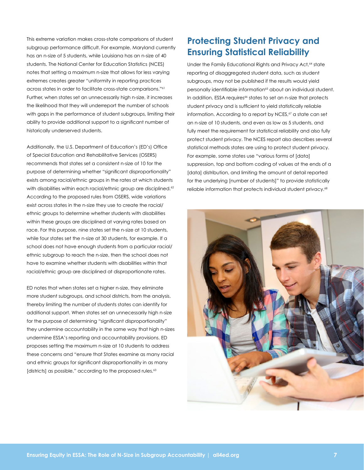<span id="page-6-0"></span>This extreme variation makes cross-state comparisons of student subgroup performance difficult. For example, Maryland currently has an n-size of 5 students, while Louisiana has an n-size of 40 students. The National Center for Education Statistics (NCES) notes that setting a maximum n-size that allows for less varying extremes creates greater "uniformity in reporting practices across states in order to facilitate cross-state comparisons."61 Further, when states set an unnecessarily high n-size, it increases the likelihood that they will underreport the number of schools with gaps in the performance of student subgroups, limiting their ability to provide additional support to a significant number of historically underserved students.

Additionally, the U.S. Department of Education's (ED's) Office of Special Education and Rehabilitative Services (OSERS) recommends that states set a consistent n-size of 10 for the purpose of determining whether "significant disproportionality" exists among racial/ethnic groups in the rates at which students with disabilities within each racial/ethnic group are disciplined.<sup>62</sup> According to the proposed rules from OSERS, wide variations exist across states in the n-size they use to create the racial/ ethnic groups to determine whether students with disabilities within these groups are disciplined at varying rates based on race. For this purpose, nine states set the n-size at 10 students, while four states set the n-size at 30 students, for example. If a school does not have enough students from a particular racial/ ethnic subgroup to reach the n-size, then the school does not have to examine whether students with disabilities within that racial/ethnic group are disciplined at disproportionate rates.

ED notes that when states set a higher n-size, they eliminate more student subgroups, and school districts, from the analysis, thereby limiting the number of students states can identify for additional support. When states set an unnecessarily high n-size for the purpose of determining "significant disproportionality" they undermine accountability in the same way that high n-sizes undermine ESSA's reporting and accountability provisions. ED proposes setting the maximum n-size at 10 students to address these concerns and "ensure that States examine as many racial and ethnic groups for significant disproportionality in as many [districts] as possible," according to the proposed rules. 63

## **Protecting Student Privacy and Ensuring Statistical Reliability**

Under the Family Educational Rights and Privacy Act,<sup>64</sup> state reporting of disaggregated student data, such as student subgroups, may not be published if the results would yield personally identifiable information<sup>65</sup> about an individual student. In addition, ESSA requires<sup>66</sup> states to set an n-size that protects student privacy and is sufficient to yield statistically reliable information. According to a report by NCES,<sup>67</sup> a state can set an n-size of 10 students, and even as low as 5 students, and fully meet the requirement for statistical reliability and also fully protect student privacy. The NCES report also describes several statistical methods states are using to protect student privacy. For example, some states use "various forms of [data] suppression, top and bottom coding of values at the ends of a [data] distribution, and limiting the amount of detail reported for the underlying [number of students]" to provide statistically reliable information that protects individual student privacy. 68

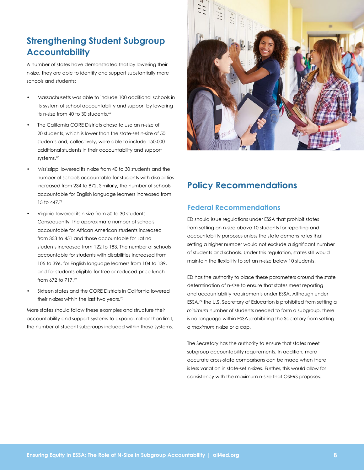## <span id="page-7-0"></span>**Strengthening Student Subgroup Accountability**

A number of states have demonstrated that by lowering their n-size, they are able to identify and support substantially more schools and students:

- Massachusetts was able to include 100 additional schools in its system of school accountability and support by lowering its n-size from 40 to 30 students. 69
- The California CORE Districts chose to use an n-size of 20 students, which is lower than the state-set n-size of 50 students and, collectively, were able to include 150,000 additional students in their accountability and support systems. 70
- Mississippi lowered its n-size from 40 to 30 students and the number of schools accountable for students with disabilities increased from 234 to 872. Similarly, the number of schools accountable for English language learners increased from 15 to 447. 71
- Virginia lowered its n-size from 50 to 30 students. Consequently, the approximate number of schools accountable for African American students increased from 353 to 451 and those accountable for Latino students increased from 122 to 183. The number of schools accountable for students with disabilities increased from 105 to 396, for English language learners from 104 to 139, and for students eligible for free or reduced-price lunch from 672 to 717. 72
- Sixteen states and the CORE Districts in California lowered their n-sizes within the last two years. 73

More states should follow these examples and structure their accountability and support systems to expand, rather than limit, the number of student subgroups included within those systems.



### **Policy Recommendations**

### **Federal Recommendations**

ED should issue regulations under ESSA that prohibit states from setting an n-size above 10 students for reporting and accountability purposes unless the state demonstrates that setting a higher number would not exclude a significant number of students and schools. Under this regulation, states still would maintain the flexibility to set an n-size below 10 students.

ED has the authority to place these parameters around the state determination of n-size to ensure that states meet reporting and accountability requirements under ESSA. Although under ESSA,74 the U.S. Secretary of Education is prohibited from setting a *minimum* number of students needed to form a subgroup, there is no language within ESSA prohibiting the Secretary from setting a *maximum* n-size or a cap.

The Secretary has the authority to ensure that states meet subgroup accountability requirements. In addition, more accurate cross-state comparisons can be made when there is less variation in state-set n-sizes. Further, this would allow for consistency with the maximum n-size that OSERS proposes.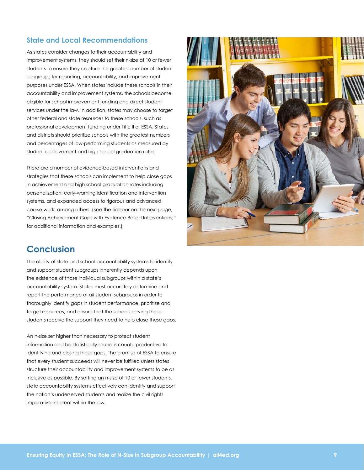### <span id="page-8-0"></span>**State and Local Recommendations**

As states consider changes to their accountability and improvement systems, they should set their n-size at 10 or fewer students to ensure they capture the greatest number of student subgroups for reporting, accountability, and improvement purposes under ESSA. When states include these schools in their accountability and improvement systems, the schools become eligible for school improvement funding and direct student services under the law. In addition, states may choose to target other federal and state resources to these schools, such as professional development funding under Title II of ESSA. States and districts should prioritize schools with the greatest numbers and percentages of low-performing students as measured by student achievement and high school graduation rates.

There are a number of evidence-based interventions and strategies that these schools can implement to help close gaps in achievement and high school graduation rates including personalization, early-warning identification and intervention systems, and expanded access to rigorous and advanced course work, among others. (See the sidebar on the next page, "Closing Achievement Gaps with Evidence-Based Interventions," for additional information and examples.)

### **Conclusion**

The ability of state and school accountability systems to identify and support student subgroups inherently depends upon the existence of those individual subgroups within a state's accountability system. States must accurately determine and report the performance of *all* student subgroups in order to thoroughly identify gaps in student performance, prioritize and target resources, and ensure that the schools serving these students receive the support they need to help close these gaps.

An n-size set higher than necessary to protect student information and be statistically sound is counterproductive to identifying and closing those gaps. The promise of ESSA to ensure that every student succeeds will never be fulfilled unless states structure their accountability and improvement systems to be as inclusive as possible. By setting an n-size of 10 or fewer students, state accountability systems effectively can identify and support the nation's underserved students and realize the civil rights imperative inherent within the law.

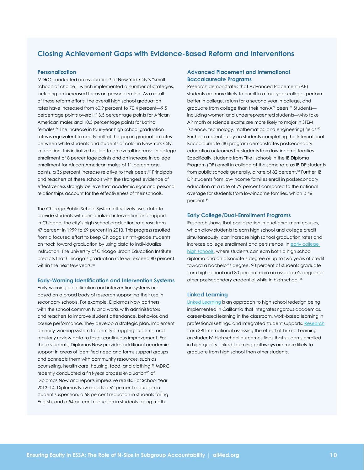### <span id="page-9-0"></span>**Closing Achievement Gaps with Evidence-Based Reform and Interventions**

#### **Personalization**

MDRC conducted an evaluation<sup>75</sup> of New York City's "small schools of choice," which implemented a number of strategies, including an increased focus on personalization. As a result of these reform efforts, the overall high school graduation rates have increased from 60.9 percent to 70.4 percent—9.5 percentage points overall; 13.5 percentage points for African American males and 10.3 percentage points for Latino females. 76 The increase in four-year high school graduation rates is equivalent to nearly half of the gap in graduation rates between white students and students of color in New York City. In addition, this initiative has led to an overall increase in college enrollment of 8 percentage points and an increase in college enrollment for African American males of 11 percentage points, a 36 percent increase relative to their peers. 77 Principals and teachers at these schools with the strongest evidence of effectiveness strongly believe that academic rigor and personal relationships account for the effectiveness of their schools.

The Chicago Public School System effectively uses data to provide students with personalized intervention and support. In Chicago, the city's high school graduation rate rose from 47 percent in 1999 to 69 percent in 2013. This progress resulted from a focused effort to keep Chicago's ninth-grade students on track toward graduation by using data to individualize instruction. The University of Chicago Urban Education Institute predicts that Chicago's graduation rate will exceed 80 percent within the next few years. 78

#### **Early-Warning Identification and Intervention Systems**

Early-warning identification and intervention systems are based on a broad body of research supporting their use in secondary schools. For example, Diplomas Now partners with the school community and works with administrators and teachers to improve student attendance, behavior, and course performance. They develop a strategic plan, implement an early-warning system to identify struggling students, and regularly review data to foster continuous improvement. For these students, Diplomas Now provides additional academic support in areas of identified need and forms support groups and connects them with community resources, such as counseling, health care, housing, food, and clothing. 79 MDRC recently conducted a first-year process evaluation<sup>80</sup> of Diplomas Now and reports impressive results. For School Year 2013–14, Diplomas Now reports a 62 percent reduction in student suspension, a 58 percent reduction in students failing English, and a 54 percent reduction in students failing math.

#### **Advanced Placement and International Baccalaureate Programs**

Research demonstrates that Advanced Placement (AP) students are more likely to enroll in a four-year college, perform better in college, return for a second year in college, and graduate from college than their non-AP peers. 81 Students including women and underrepresented students—who take AP math or science exams are more likely to major in STEM (science, technology, mathematics, and engineering) fields.<sup>82</sup> Further, a recent study on students completing the International Baccalaureate (IB) program demonstrates postsecondary education outcomes for students from low-income families. Specifically, students from Title I schools in the IB Diploma Program (DP) enroll in college at the same rate as IB DP students from public schools generally, a rate of 82 percent. 83 Further, IB DP students from low-income families enroll in postsecondary education at a rate of 79 percent compared to the national average for students from low-income families, which is 46 percent. 84

#### **Early College/Dual-Enrollment Programs**

Research shows that participation in dual-enrollment courses, which allow students to earn high school and college credit simultaneously, can increase high school graduation rates and increase college enrollment and persistence. In early college high schools, where students can earn both a high school diploma and an associate's degree or up to two years of credit toward a bachelor's degree, 90 percent of students graduate from high school and 30 percent earn an associate's degree or other postsecondary credential while in high school. 85

#### **Linked Learning**

Linked Learning is an approach to high school redesign being implemented in California that integrates rigorous academics, career-based learning in the classroom, work-based learning in professional settings, and integrated student supports. Research from SRI International assessing the effect of Linked Learning on students' high school outcomes finds that students enrolled in high-quality Linked Learning pathways are more likely to graduate from high school than other students.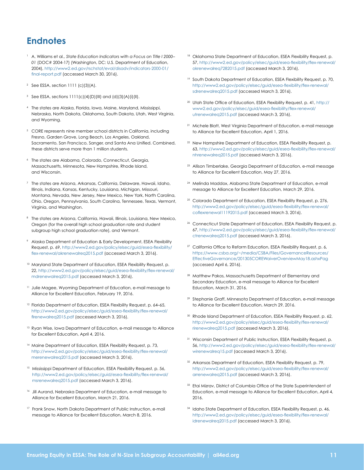## <span id="page-10-0"></span>**Endnotes**

- <sup>1</sup> A. Williams et al., *State Education Indicators with a Focus on Title I 2000– 01* (DOC# 2004-17) (Washington, DC: U.S. Department of Education, 2004), http://www2.ed.gov/rschstat/eval/disadv/indicators-2000-01/ final-report.pdf (accessed March 30, 2016).
- <sup>2</sup> See ESSA, section 1111 (c)(3)(A).
- <sup>3</sup> See ESSA, sections  $1111(c)(4)(D)(III)$  and  $(d)(3)(A)(i)(III)$ .
- <sup>4</sup> The states are Alaska, Florida, Iowa, Maine, Maryland, Mississippi, Nebraska, North Dakota, Oklahoma, South Dakota, Utah, West Virginia, and Wyoming.
- <sup>5</sup> CORE represents nine member school districts in California, including Fresno, Garden Grove, Long Beach, Los Angeles, Oakland, Sacramento, San Francisco, Sanger, and Santa Ana Unified. Combined, these districts serve more than 1 million students.
- The states are Alabama, Colorado, Connecticut, Georgia, Massachusetts, Minnesota, New Hampshire, Rhode Island, and Wisconsin.
- <sup>7</sup> The states are Arizona, Arkansas, California, Delaware, Hawaii, Idaho, Illinois, Indiana, Kansas, Kentucky, Louisiana, Michigan, Missouri, Montana, Nevada, New Jersey, New Mexico, New York, North Carolina, Ohio, Oregon, Pennsylvania, South Carolina, Tennessee, Texas, Vermont, Virginia, and Washington.
- <sup>8</sup> The states are Arizona, California, Hawaii, Illinois, Louisiana, New Mexico, Oregon (for the overall high school graduation rate and student subgroup high school graduation rate), and Vermont.
- <sup>9</sup> Alaska Department of Education & Early Development, ESEA Flexibility Request, p. 69, http://www2.ed.gov/policy/elsec/guid/esea-flexibility/ flex-renewal/akrenewalreq2015.pdf (accessed March 3, 2016).
- <sup>10</sup> Maryland State Department of Education, ESEA Flexibility Request, p. 22, http://www2.ed.gov/policy/elsec/guid/esea-flexibility/flex-renewal/ mdrenewalreq2015.pdf (accessed March 3, 2016).
- <sup>11</sup> Julie Magee, Wyoming Department of Education, e-mail message to Alliance for Excellent Education, February 19, 2016.
- <sup>12</sup> Florida Department of Education, ESEA Flexibility Request, p. 64-65, http://www2.ed.gov/policy/elsec/guid/esea-flexibility/flex-renewal/ flrenewalreq2015.pdf (accessed March 3, 2016).
- <sup>13</sup> Ryan Wise, Iowa Department of Education, e-mail message to Alliance for Excellent Education, April 4, 2016.
- <sup>14</sup> Maine Department of Education, ESEA Flexibility Request, p. 73, http://www2.ed.gov/policy/elsec/guid/esea-flexibility/flex-renewal/ merenewalreq2015.pdf (accessed March 3, 2016).
- <sup>15</sup> Mississippi Department of Education, ESEA Flexibility Request, p. 56, http://www2.ed.gov/policy/elsec/guid/esea-flexibility/flex-renewal/ msrenewalreq2015.pdf (accessed March 3, 2016).
- 16 Jill Aurand, Nebraska Department of Education, e-mail message to Alliance for Excellent Education, March 21, 2016.
- <sup>17</sup> Frank Snow, North Dakota Department of Public Instruction, e-mail message to Alliance for Excellent Education, March 8, 2016.
- <sup>18</sup> Oklahoma State Department of Education, ESEA Flexibility Request, p. 57, http://www2.ed.gov/policy/elsec/guid/esea-flexibility/flex-renewal/ okrenewalreq7282015.pdf (accessed March 3, 2016).
- <sup>19</sup> South Dakota Department of Education, ESEA Flexibility Request, p. 70, http://www2.ed.gov/policy/elsec/guid/esea-flexibility/flex-renewal/ sdrenewalreq2015.pdf (accessed March 3, 2016).
- <sup>20</sup> Utah State Office of Education, ESEA Flexibility Request, p. 41, http:// www2.ed.gov/policy/elsec/guid/esea-flexibility/flex-renewal/ utrenewalreq2015.pdf (accessed March 3, 2016).
- <sup>21</sup> Michele Blatt, West Virginia Department of Education, e-mail message to Alliance for Excellent Education, April 1, 2016.
- <sup>22</sup> New Hampshire Department of Education, ESEA Flexibility Request, p. 63, http://www2.ed.gov/policy/elsec/guid/esea-flexibility/flex-renewal/ nhrenewalreq2015.pdf (accessed March 3, 2016).
- 23 Allison Timberlake, Georgia Department of Education, e-mail message to Alliance for Excellent Education, May 27, 2016.
- 24 Melinda Maddox, Alabama State Department of Education, e-mail message to Alliance for Excellent Education, March 29, 2016.
- <sup>25</sup> Colorado Department of Education, ESEA Flexibility Request, p. 276, http://www2.ed.gov/policy/elsec/guid/esea-flexibility/flex-renewal/ coflexrenewal11192015.pdf (accessed March 3, 2016).
- <sup>26</sup> Connecticut State Department of Education, ESEA Flexibility Request, p. 67, http://www2.ed.gov/policy/elsec/guid/esea-flexibility/flex-renewal/ ctrenewalreq2015.pdf (accessed March 3, 2016).
- <sup>27</sup> California Office to Reform Education, ESEA Flexibility Request, p. 6, https://www.csba.org/~/media/CSBA/Files/GovernanceResources/ EffectiveGovernance/201305COREWaiverOverviewMay18.ashxPag (accessed April 6, 2016).
- 28 Matthew Pakos, Massachusetts Department of Elementary and Secondary Education, e-mail message to Alliance for Excellent Education, March 31, 2016.
- 29 Stephanie Graff, Minnesota Department of Education, e-mail message to Alliance for Excellent Education, March 29, 2016.
- <sup>30</sup> Rhode Island Department of Education, ESEA Flexibility Request, p. 62, http://www2.ed.gov/policy/elsec/guid/esea-flexibility/flex-renewal/ rirenewalreq2015.pdf (accessed March 3, 2016).
- <sup>31</sup> Wisconsin Department of Public Instruction, ESEA Flexibility Request, p. 56, http://www2.ed.gov/policy/elsec/guid/esea-flexibility/flex-renewal/ wirenewalreq15.pdf (accessed March 3, 2016).
- <sup>32</sup> Arkansas Department of Education, ESEA Flexibility Request, p. 79, http://www2.ed.gov/policy/elsec/guid/esea-flexibility/flex-renewal/ arrenewalreq2015.pdf (accessed March 3, 2016).
- <sup>33</sup> Etai Mizrav, District of Columbia Office of the State Superintendent of Education, e-mail message to Alliance for Excellent Education, April 4, 2016.
- <sup>34</sup> Idaho State Department of Education, ESEA Flexibility Request, p. 46, http://www2.ed.gov/policy/elsec/guid/esea-flexibility/flex-renewal/ idrenewalreq2015.pdf (accessed March 3, 2016).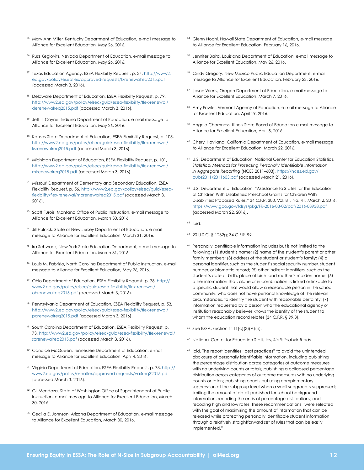- <sup>35</sup> Mary Ann Miller, Kentucky Department of Education, e-mail message to Alliance for Excellent Education, May 26, 2016.
- 36 Russ Keglovits, Nevada Department of Education, e-mail message to Alliance for Excellent Education, May 26, 2016.
- 37 Texas Education Agency, ESEA Flexibility Request, p. 34, http://www2. ed.gov/policy/eseaflex/approved-requests/txrenewalreq2015.pdf (accessed March 3, 2016).
- <sup>38</sup> Delaware Department of Education, ESEA Flexibility Request, p. 79, http://www2.ed.gov/policy/elsec/guid/esea-flexibility/flex-renewal/ derenewalreq2015.pdf (accessed March 3, 2016).
- <sup>39</sup> Jeff J. Coyne, Indiana Department of Education, e-mail message to Alliance for Excellent Education, May 26, 2016.
- 40 Kansas State Department of Education, ESEA Flexibility Request, p. 105, http://www2.ed.gov/policy/elsec/guid/esea-flexibility/flex-renewal/ ksrenewalreq2015.pdf (accessed March 3, 2016).
- 41 Michigan Department of Education, ESEA Flexibility Request, p. 101, http://www2.ed.gov/policy/elsec/guid/esea-flexibility/flex-renewal/ mirenewalreq2015.pdf (accessed March 3, 2016).
- 42 Missouri Department of Elementary and Secondary Education, ESEA Flexibility Request, p. 56, http://www2.ed.gov/policy/elsec/guid/eseaflexibility/flex-renewal/morenewalreq2015.pdf (accessed March 3, 2016).
- 43 Scott Furois, Montana Office of Public Instruction, e-mail message to Alliance for Excellent Education, March 30, 2016.
- 44 Jill Hulnick, State of New Jersey Department of Education, e-mail message to Alliance for Excellent Education, March 31, 2016.
- <sup>45</sup> Ira Schwartz, New York State Education Department, e-mail message to Alliance for Excellent Education, March 31, 2016.
- 46 Louis M. Fabrizio, North Carolina Department of Public Instruction, e-mail message to Alliance for Excellent Education, May 26, 2016.
- 47 Ohio Department of Education, ESEA Flexibility Request, p. 78, http:// www2.ed.gov/policy/elsec/guid/esea-flexibility/flex-renewal/ ohrenewalreq2015.pdf (accessed March 3, 2016).
- 48 Pennsylvania Department of Education, ESEA Flexibility Request, p. 53, http://www2.ed.gov/policy/elsec/guid/esea-flexibility/flex-renewal/ parenewalreq2015.pdf (accessed March 3, 2016).
- 49 South Carolina Department of Education, ESEA Flexibility Request, p. 73, http://www2.ed.gov/policy/elsec/guid/esea-flexibility/flex-renewal/ screnewalreq2015.pdf (accessed March 3, 2016).
- 50 Candice McQueen, Tennessee Department of Education, e-mail message to Alliance for Excellent Education, April 4, 2016.
- 51 Virginia Department of Education, ESEA Flexibility Request, p. 73, http:// www2.ed.gov/policy/eseaflex/approved-requests/va4req32015.pdf (accessed March 3, 2016).
- <sup>52</sup> Gil Mendoza, State of Washington Office of Superintendent of Public Instruction, e-mail message to Alliance for Excellent Education, March 30, 2016.
- 53 Cecilia E. Johnson, Arizona Department of Education, e-mail message to Alliance for Excellent Education, March 30, 2016.
- 54 Glenn Nochi, Hawaii State Department of Education, e-mail message to Alliance for Excellent Education, February 16, 2016.
- 55 Jennifer Baird, Louisiana Department of Education, e-mail message to Alliance for Excellent Education, May 26, 2016.
- 56 Cindy Gregory, New Mexico Public Education Department, e-mail message to Alliance for Excellent Education, February 23, 2016.
- 57 Jason Wiens, Oregon Department of Education, e-mail message to Alliance for Excellent Education, March 7, 2016.
- 58 Amy Fowler, Vermont Agency of Education, e-mail message to Alliance for Excellent Education, April 19, 2016.
- <sup>59</sup> Angela Chamness, Illinois State Board of Education e-mail message to Alliance for Excellent Education, April 5, 2016.
- 60 Cheryl Haviland, California Department of Education, e-mail message to Alliance for Excellent Education, March 22, 2016.
- 61 U.S. Department of Education, National Center for Education Statistics, *Statistical Methods for Protecting Personally Identifiable Information in Aggregate Reporting* (NCES 2011–603), https://nces.ed.gov/ pubs2011/2011603.pdf (accessed March 21, 2016).
- 62 U.S. Department of Education, "Assistance to States for the Education of Children With Disabilities; Preschool Grants for Children With Disabilities; Proposed Rules," 34 C.F.R. 300, Vol. 81. No. 41, March 2, 2016, https://www.gpo.gov/fdsys/pkg/FR-2016-03-02/pdf/2016-03938.pdf (accessed March 22, 2016).
- 63 Ibid.
- 64 20 U.S.C. § 1232g; 34 C.F.R. 99.
- <sup>65</sup> Personally identifiable information includes but is not limited to the following: (1) student's name; (2) name of the student's parent or other family members; (3) address of the student or student's family; (4) a personal identifier, such as the student's social security number, student number, or biometric record; (5) other indirect identifiers, such as the student's date of birth, place of birth, and mother's maiden name; (6) other information that, alone or in combination, is linked or linkable to a specific student that would allow a reasonable person in the school community, who does not have personal knowledge of the relevant circumstances, to identify the student with reasonable certainty; (7) information requested by a person who the educational agency or institution reasonably believes knows the identity of the student to whom the education record relates (34 C.F.R. § 99.3).
- 66 See ESSA, section 1111(c)(3)(A)(iii).
- 67 National Center for Education Statistics, *Statistical Methods.*
- <sup>68</sup> Ibid. The report identifies "best practices" to avoid the unintended disclosure of personally identifiable information, including publishing the percentage distribution across categories of outcome measures with no underlying counts or totals; publishing a collapsed percentage distribution across categories of outcome measures with no underlying counts or totals; publishing counts but using complementary suppression at the subgroup level when a small subgroup is suppressed; limiting the amount of detail published for school background information; recoding the ends of percentage distributions; and recoding high and low rates. These recommendations "were selected with the goal of maximizing the amount of information that can be released while protecting personally identifiable student information through a relatively straightforward set of rules that can be easily implemented."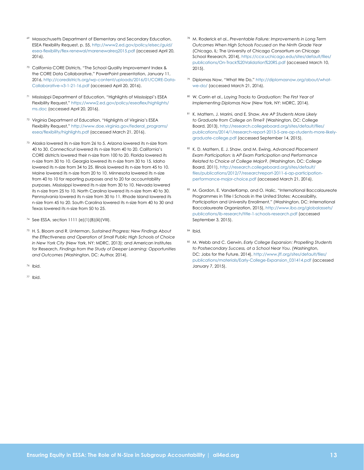- 69 Massachusetts Department of Elementary and Secondary Education, ESEA Flexibility Request, p. 55, http://www2.ed.gov/policy/elsec/guid/ esea-flexibility/flex-renewal/marenewalreq2015.pdf (accessed April 20, 2016).
- <sup>70</sup> California CORE Districts, "The School Quality Improvement Index & the CORE Data Collaborative," PowerPoint presentation, January 11, 2016, http://coredistricts.org/wp-content/uploads/2016/01/CORE-Data-Collaborative-v3-1-21-16.pdf (accessed April 20, 2016).
- <sup>71</sup> Mississippi Department of Education, "Highlights of Mississippi's ESEA Flexibility Request," https://www2.ed.gov/policy/eseaflex/highlights/ ms.doc (accessed April 20, 2016).
- <sup>72</sup> Virginia Department of Education, "Highlights of Virginia's ESEA Flexibility Request," http://www.doe.virginia.gov/federal\_programs/ esea/flexibility/highlights.pdf (accessed March 21, 2016).
- 73 Alaska lowered its n-size from 26 to 5. Arizona lowered its n-size from 40 to 30. Connecticut lowered its n-size from 40 to 20. California's CORE districts lowered their n-size from 100 to 20. Florida lowered its n-size from 30 to 10. Georgia lowered its n-size from 30 to 15. Idaho lowered its n-size from 34 to 25. Illinois lowered its n-size from 45 to 10. Maine lowered its n-size from 20 to 10. Minnesota lowered its n-size from 40 to 10 for reporting purposes and to 20 for accountability purposes. Mississippi lowered its n-size from 30 to 10. Nevada lowered its n-size from 25 to 10. North Carolina lowered its n-size from 40 to 30. Pennsylvania lowered its n-size from 30 to 11. Rhode Island lowered its n-size from 45 to 20. South Carolina lowered its n-size from 40 to 30 and Texas lowered its n-size from 50 to 25.
- 74 See ESSA, section 1111 (e)(1)(B)(iii)(VIII).
- 75 H. S. Bloom and R. Unterman, *Sustained Progress: New Findings About the Effectiveness and Operation of Small Public High Schools of Choice in New York City* (New York, NY: MDRC, 2013); and American Institutes for Research, *Findings from the Study of Deeper Learning: Opportunities and Outcomes* (Washington, DC: Author, 2014).
- 76 Ibid.
- 77 Ibid.
- 78 M. Roderick et al., *Preventable Failure: Improvements in Long Term Outcomes When High Schools Focused on the Ninth Grade Year* (Chicago, IL: The University of Chicago Consortium on Chicago School Research, 2014), https://ccsr.uchicago.edu/sites/default/files/ publications/On-Track%20Validation%20RS.pdf (accessed March 10, 2015).
- 79 Diplomas Now, "What We Do," http://diplomasnow.org/about/whatwe-do/ (accessed March 21, 2016).
- 80 W. Corrin et al., *Laying Tracks to Graduation: The First Year of Implementing Diplomas Now* (New York, NY: MDRC, 2014).
- 81 K. Mattern, J. Marini, and E. Shaw, *Are AP Students More Likely to Graduate from College on Time?* (Washington, DC: College Board, 2013), http://research.collegeboard.org/sites/default/files/ publications/2014/1/research-report-2013-5-are-ap-students-more-likelygraduate-college.pdf (accessed September 14, 2015).
- 82 K. D. Mattern, E. J. Shaw, and M. Ewing, *Advanced Placement Exam Participation: Is AP Exam Participation and Performance Related to Choice of College Major?*, (Washington, DC: College Board, 2011), http://research.collegeboard.org/sites/default/ files/publications/2012/7/researchreport-2011-6-ap-participationperformance-major-choice.pdf (accessed March 21, 2016).
- 83 M. Gordon, E. VanderKamp, and O. Halic, "International Baccalaureate Programmes in Title I Schools in the United States: Accessibility, Participation and University Enrollment," (Washington, DC: International Baccalaureate Organization, 2015), http://www.ibo.org/globalassets/ publications/ib-research/title-1-schools-research.pdf (accessed September 3, 2015).
- 84 Ibid.
- 85 M. Webb and C. Gerwin, *Early College Expansion: Propelling Students to Postsecondary Success, at a School Near You*. (Washington, DC: Jobs for the Future, 2014), http://www.jff.org/sites/default/files/ publications/materials/Early-College-Expansion\_031414.pdf (accessed January 7, 2015).